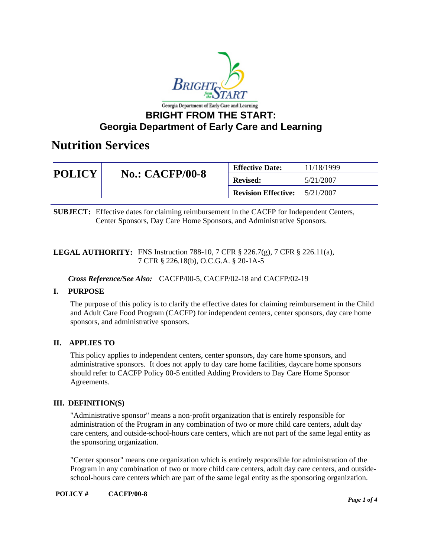

# **Georgia Department of Early Care and Learning**

## **Nutrition Services**

| <b>POLICY</b> | <b>No.: CACFP/00-8</b> | <b>Effective Date:</b>     | 11/18/1999 |
|---------------|------------------------|----------------------------|------------|
|               |                        | <b>Revised:</b>            | 5/21/2007  |
|               |                        | <b>Revision Effective:</b> | 5/21/2007  |

**SUBJECT:** Effective dates for claiming reimbursement in the CACFP for Independent Centers, Center Sponsors, Day Care Home Sponsors, and Administrative Sponsors.

## **LEGAL AUTHORITY:** FNS Instruction 788-10, 7 CFR § 226.7(g), 7 CFR § 226.11(a), 7 CFR § 226.18(b), O.C.G.A. § 20-1A-5

*Cross Reference/See Also:* CACFP/00-5, CACFP/02-18 and CACFP/02-19

## **I. PURPOSE**

The purpose of this policy is to clarify the effective dates for claiming reimbursement in the Child and Adult Care Food Program (CACFP) for independent centers, center sponsors, day care home sponsors, and administrative sponsors.

## **II. APPLIES TO**

This policy applies to independent centers, center sponsors, day care home sponsors, and administrative sponsors. It does not apply to day care home facilities, daycare home sponsors should refer to CACFP Policy 00-5 entitled Adding Providers to Day Care Home Sponsor Agreements.

## **III. DEFINITION(S)**

"Administrative sponsor" means a non-profit organization that is entirely responsible for administration of the Program in any combination of two or more child care centers, adult day care centers, and outside-school-hours care centers, which are not part of the same legal entity as the sponsoring organization.

"Center sponsor" means one organization which is entirely responsible for administration of the Program in any combination of two or more child care centers, adult day care centers, and outsideschool-hours care centers which are part of the same legal entity as the sponsoring organization.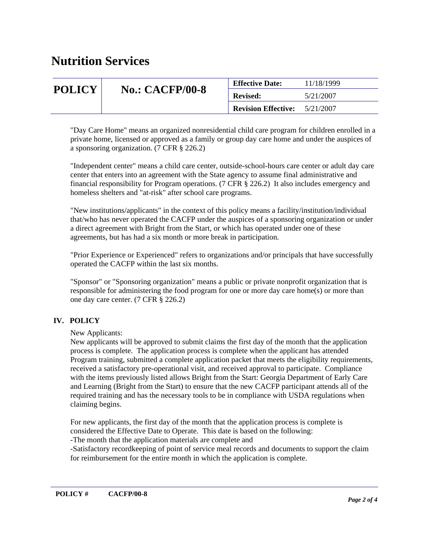# **Nutrition Services**

| <b>POLICY</b> | <b>No.: CACFP/00-8</b> | <b>Effective Date:</b>     | 11/18/1999 |
|---------------|------------------------|----------------------------|------------|
|               |                        | <b>Revised:</b>            | 5/21/2007  |
|               |                        | <b>Revision Effective:</b> | 5/21/2007  |

"Day Care Home" means an organized nonresidential child care program for children enrolled in a private home, licensed or approved as a family or group day care home and under the auspices of a sponsoring organization. (7 CFR § 226.2)

"Independent center" means a child care center, outside-school-hours care center or adult day care center that enters into an agreement with the State agency to assume final administrative and financial responsibility for Program operations. (7 CFR  $\S$  226.2) It also includes emergency and homeless shelters and "at-risk" after school care programs.

"New institutions/applicants" in the context of this policy means a facility/institution/individual that/who has never operated the CACFP under the auspices of a sponsoring organization or under a direct agreement with Bright from the Start, or which has operated under one of these agreements, but has had a six month or more break in participation.

"Prior Experience or Experienced" refers to organizations and/or principals that have successfully operated the CACFP within the last six months.

"Sponsor" or "Sponsoring organization" means a public or private nonprofit organization that is responsible for administering the food program for one or more day care home(s) or more than one day care center. (7 CFR § 226.2)

## **IV. POLICY**

## New Applicants:

New applicants will be approved to submit claims the first day of the month that the application process is complete. The application process is complete when the applicant has attended Program training, submitted a complete application packet that meets the eligibility requirements, received a satisfactory pre-operational visit, and received approval to participate. Compliance with the items previously listed allows Bright from the Start: Georgia Department of Early Care and Learning (Bright from the Start) to ensure that the new CACFP participant attends all of the required training and has the necessary tools to be in compliance with USDA regulations when claiming begins.

For new applicants, the first day of the month that the application process is complete is considered the Effective Date to Operate. This date is based on the following:

-The month that the application materials are complete and

-Satisfactory recordkeeping of point of service meal records and documents to support the claim for reimbursement for the entire month in which the application is complete.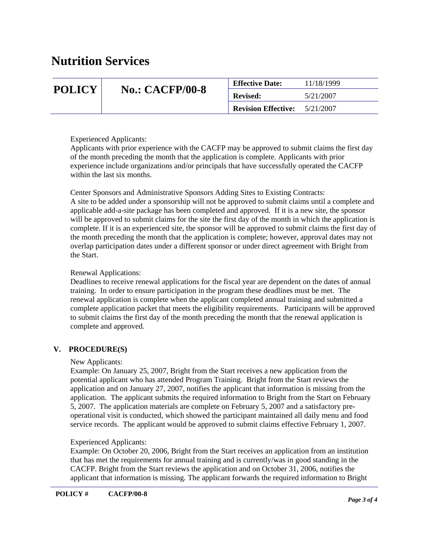# **Nutrition Services**

| <b>POLICY</b> | <b>No.: CACFP/00-8</b> | <b>Effective Date:</b>     | 11/18/1999 |
|---------------|------------------------|----------------------------|------------|
|               |                        | <b>Revised:</b>            | 5/21/2007  |
|               |                        | <b>Revision Effective:</b> | 5/21/2007  |

## Experienced Applicants:

Applicants with prior experience with the CACFP may be approved to submit claims the first day of the month preceding the month that the application is complete. Applicants with prior experience include organizations and/or principals that have successfully operated the CACFP within the last six months.

Center Sponsors and Administrative Sponsors Adding Sites to Existing Contracts: A site to be added under a sponsorship will not be approved to submit claims until a complete and applicable add-a-site package has been completed and approved. If it is a new site, the sponsor will be approved to submit claims for the site the first day of the month in which the application is complete. If it is an experienced site, the sponsor will be approved to submit claims the first day of the month preceding the month that the application is complete; however, approval dates may not overlap participation dates under a different sponsor or under direct agreement with Bright from the Start.

## Renewal Applications:

Deadlines to receive renewal applications for the fiscal year are dependent on the dates of annual training. In order to ensure participation in the program these deadlines must be met. The renewal application is complete when the applicant completed annual training and submitted a complete application packet that meets the eligibility requirements. Participants will be approved to submit claims the first day of the month preceding the month that the renewal application is complete and approved.

## **V. PROCEDURE(S)**

## New Applicants:

Example: On January 25, 2007, Bright from the Start receives a new application from the potential applicant who has attended Program Training. Bright from the Start reviews the application and on January 27, 2007, notifies the applicant that information is missing from the application. The applicant submits the required information to Bright from the Start on February 5, 2007. The application materials are complete on February 5, 2007 and a satisfactory preoperational visit is conducted, which showed the participant maintained all daily menu and food service records. The applicant would be approved to submit claims effective February 1, 2007.

## Experienced Applicants:

Example: On October 20, 2006, Bright from the Start receives an application from an institution that has met the requirements for annual training and is currently/was in good standing in the CACFP. Bright from the Start reviews the application and on October 31, 2006, notifies the applicant that information is missing. The applicant forwards the required information to Bright